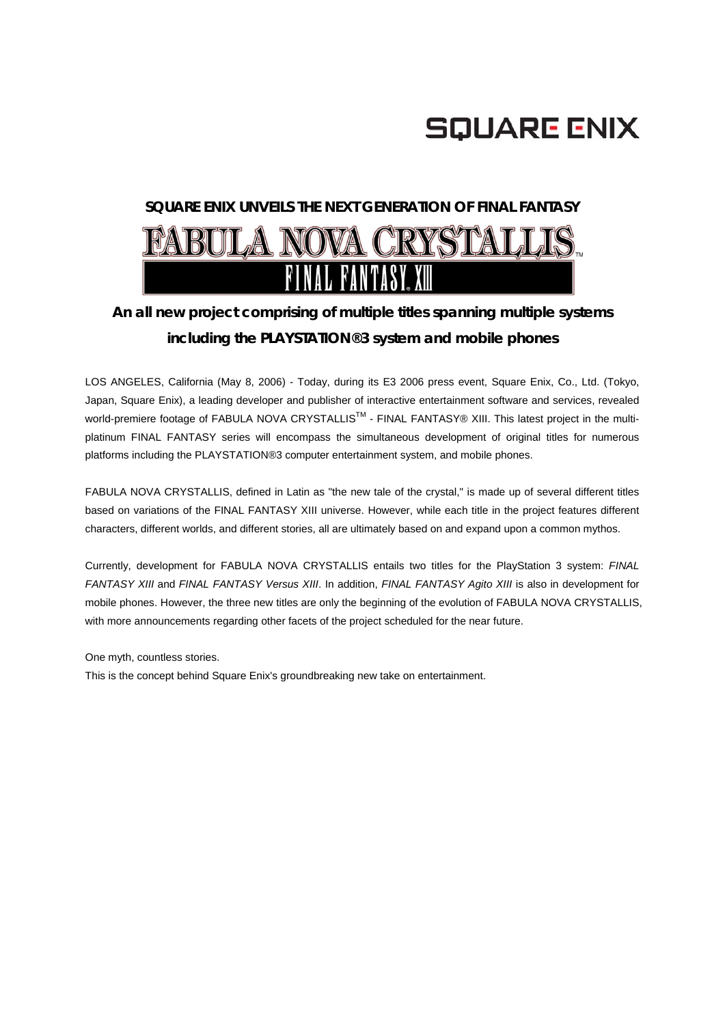

### **SQUARE ENIX UNVEILS THE NEXT GENERATION OF FINAL FANTASY**

# **FABULA NOVA CRYSTALLIS.** FANTASY

## *An all new project comprising of multiple titles spanning multiple systems including the PLAYSTATION®3 system and mobile phones*

LOS ANGELES, California (May 8, 2006) - Today, during its E3 2006 press event, Square Enix, Co., Ltd. (Tokyo, Japan, Square Enix), a leading developer and publisher of interactive entertainment software and services, revealed world-premiere footage of FABULA NOVA CRYSTALLIS™ - FINAL FANTASY® XIII. This latest project in the multiplatinum FINAL FANTASY series will encompass the simultaneous development of original titles for numerous platforms including the PLAYSTATION®3 computer entertainment system, and mobile phones.

FABULA NOVA CRYSTALLIS, defined in Latin as "the new tale of the crystal," is made up of several different titles based on variations of the FINAL FANTASY XIII universe. However, while each title in the project features different characters, different worlds, and different stories, all are ultimately based on and expand upon a common mythos.

Currently, development for FABULA NOVA CRYSTALLIS entails two titles for the PlayStation 3 system: *FINAL FANTASY XIII* and *FINAL FANTASY Versus XIII*. In addition, *FINAL FANTASY Agito XIII* is also in development for mobile phones. However, the three new titles are only the beginning of the evolution of FABULA NOVA CRYSTALLIS, with more announcements regarding other facets of the project scheduled for the near future.

One myth, countless stories.

This is the concept behind Square Enix's groundbreaking new take on entertainment.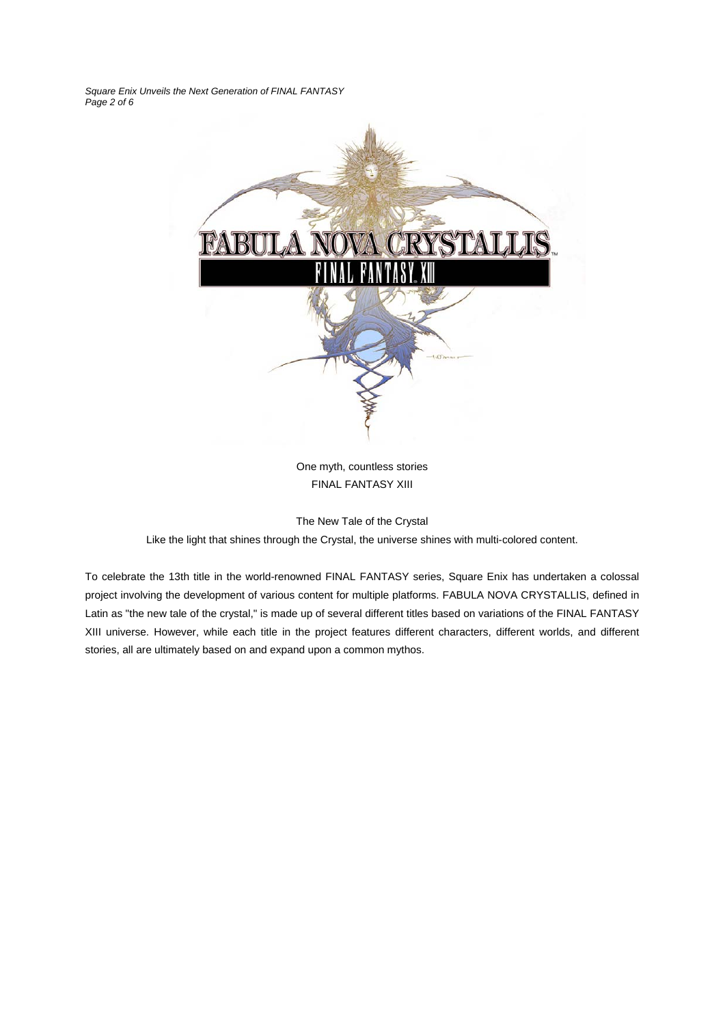*Square Enix Unveils the Next Generation of FINAL FANTASY Page 2 of 6* 



One myth, countless stories FINAL FANTASY XIII

The New Tale of the Crystal

Like the light that shines through the Crystal, the universe shines with multi-colored content.

To celebrate the 13th title in the world-renowned FINAL FANTASY series, Square Enix has undertaken a colossal project involving the development of various content for multiple platforms. FABULA NOVA CRYSTALLIS, defined in Latin as "the new tale of the crystal," is made up of several different titles based on variations of the FINAL FANTASY XIII universe. However, while each title in the project features different characters, different worlds, and different stories, all are ultimately based on and expand upon a common mythos.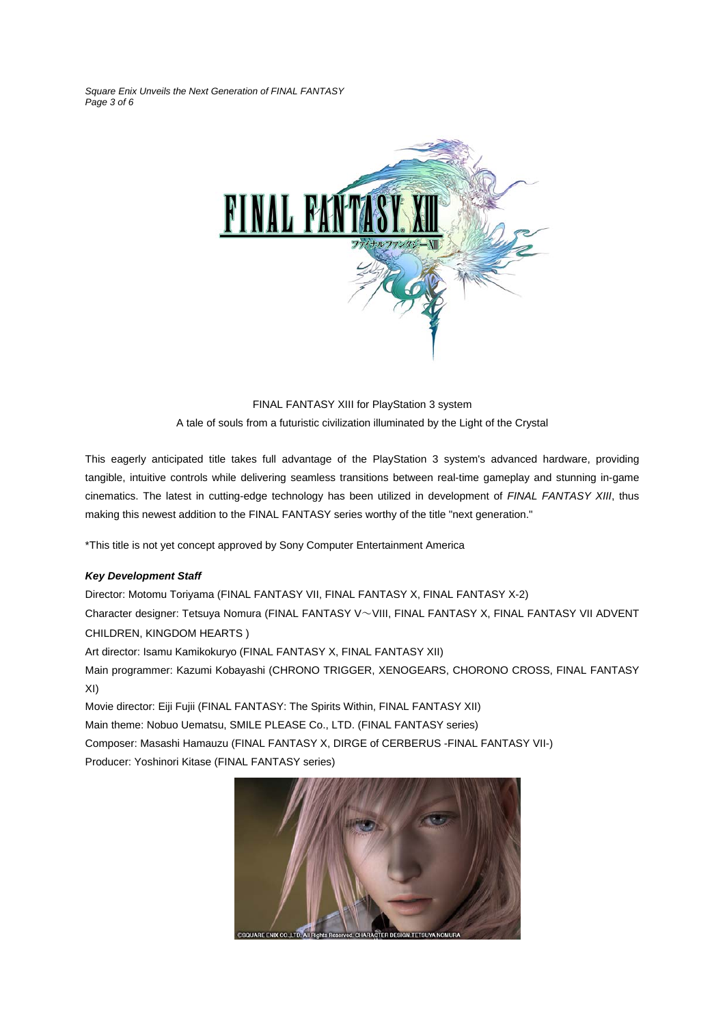*Square Enix Unveils the Next Generation of FINAL FANTASY Page 3 of 6* 



FINAL FANTASY XIII for PlayStation 3 system A tale of souls from a futuristic civilization illuminated by the Light of the Crystal

This eagerly anticipated title takes full advantage of the PlayStation 3 system's advanced hardware, providing tangible, intuitive controls while delivering seamless transitions between real-time gameplay and stunning in-game cinematics. The latest in cutting-edge technology has been utilized in development of *FINAL FANTASY XIII*, thus making this newest addition to the FINAL FANTASY series worthy of the title "next generation."

\*This title is not yet concept approved by Sony Computer Entertainment America

#### *Key Development Staff*

Director: Motomu Toriyama (FINAL FANTASY VII, FINAL FANTASY X, FINAL FANTASY X-2) Character designer: Tetsuya Nomura (FINAL FANTASY V~VIII, FINAL FANTASY X, FINAL FANTASY VII ADVENT CHILDREN, KINGDOM HEARTS ) Art director: Isamu Kamikokuryo (FINAL FANTASY X, FINAL FANTASY XII) Main programmer: Kazumi Kobayashi (CHRONO TRIGGER, XENOGEARS, CHORONO CROSS, FINAL FANTASY XI) Movie director: Eiji Fujii (FINAL FANTASY: The Spirits Within, FINAL FANTASY XII)

Main theme: Nobuo Uematsu, SMILE PLEASE Co., LTD. (FINAL FANTASY series) Composer: Masashi Hamauzu (FINAL FANTASY X, DIRGE of CERBERUS -FINAL FANTASY VII-) Producer: Yoshinori Kitase (FINAL FANTASY series)

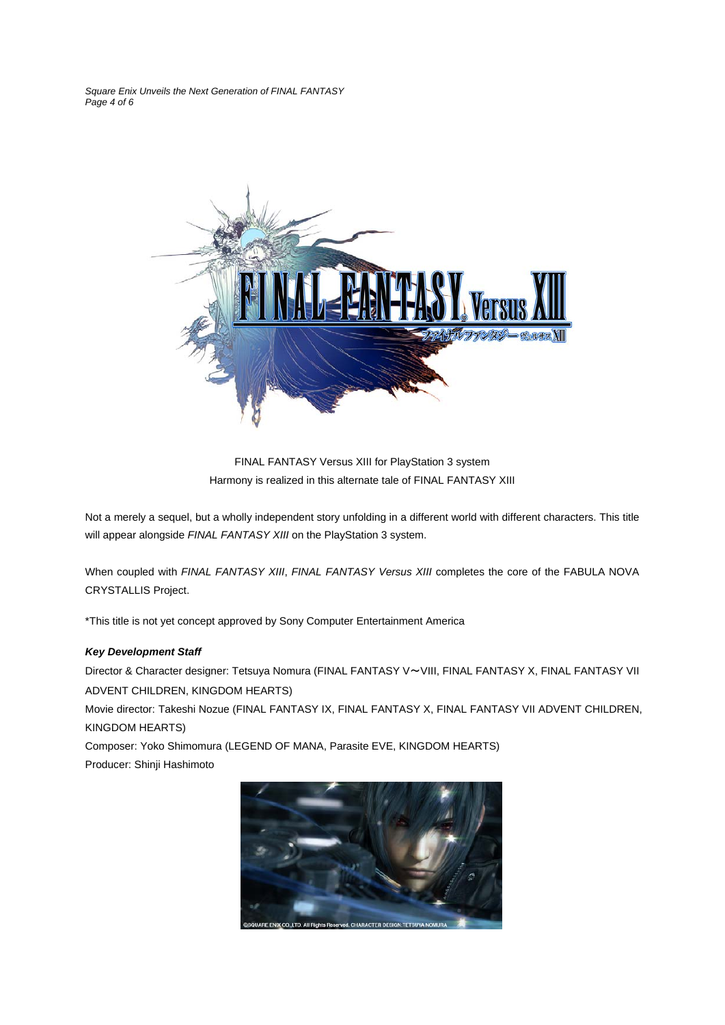*Square Enix Unveils the Next Generation of FINAL FANTASY Page 4 of 6* 



FINAL FANTASY Versus XIII for PlayStation 3 system Harmony is realized in this alternate tale of FINAL FANTASY XIII

Not a merely a sequel, but a wholly independent story unfolding in a different world with different characters. This title will appear alongside *FINAL FANTASY XIII* on the PlayStation 3 system.

When coupled with *FINAL FANTASY XIII*, *FINAL FANTASY Versus XIII* completes the core of the FABULA NOVA CRYSTALLIS Project.

\*This title is not yet concept approved by Sony Computer Entertainment America

#### *Key Development Staff*

Director & Character designer: Tetsuya Nomura (FINAL FANTASY V~VIII, FINAL FANTASY X, FINAL FANTASY VII ADVENT CHILDREN, KINGDOM HEARTS)

Movie director: Takeshi Nozue (FINAL FANTASY IX, FINAL FANTASY X, FINAL FANTASY VII ADVENT CHILDREN, KINGDOM HEARTS)

Composer: Yoko Shimomura (LEGEND OF MANA, Parasite EVE, KINGDOM HEARTS) Producer: Shinji Hashimoto

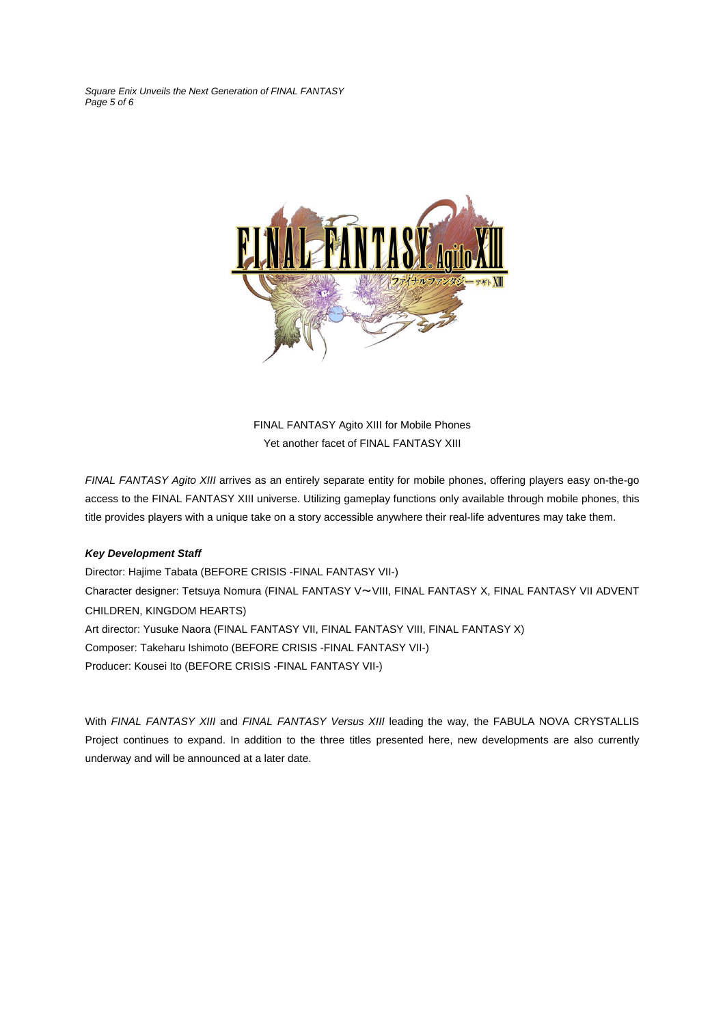*Square Enix Unveils the Next Generation of FINAL FANTASY Page 5 of 6* 



FINAL FANTASY Agito XIII for Mobile Phones Yet another facet of FINAL FANTASY XIII

*FINAL FANTASY Agito XIII* arrives as an entirely separate entity for mobile phones, offering players easy on-the-go access to the FINAL FANTASY XIII universe. Utilizing gameplay functions only available through mobile phones, this title provides players with a unique take on a story accessible anywhere their real-life adventures may take them.

#### *Key Development Staff*

Director: Hajime Tabata (BEFORE CRISIS -FINAL FANTASY VII-) Character designer: Tetsuya Nomura (FINAL FANTASY V~VIII, FINAL FANTASY X, FINAL FANTASY VII ADVENT CHILDREN, KINGDOM HEARTS) Art director: Yusuke Naora (FINAL FANTASY VII, FINAL FANTASY VIII, FINAL FANTASY X) Composer: Takeharu Ishimoto (BEFORE CRISIS -FINAL FANTASY VII-) Producer: Kousei Ito (BEFORE CRISIS -FINAL FANTASY VII-)

With *FINAL FANTASY XIII* and *FINAL FANTASY Versus XIII* leading the way, the FABULA NOVA CRYSTALLIS Project continues to expand. In addition to the three titles presented here, new developments are also currently underway and will be announced at a later date.